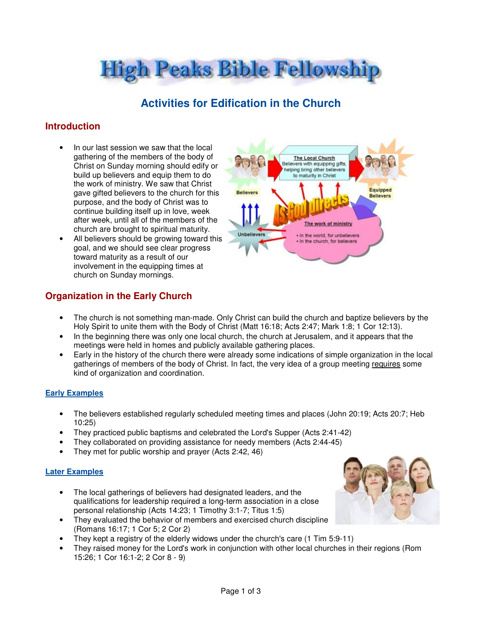**High Peaks Bible Fellowship** 

# **Activities for Edification in the Church**

# **Introduction**

- In our last session we saw that the local gathering of the members of the body of Christ on Sunday morning should edify or build up believers and equip them to do the work of ministry. We saw that Christ gave gifted believers to the church for this purpose, and the body of Christ was to continue building itself up in love, week after week, until all of the members of the church are brought to spiritual maturity.
- All believers should be growing toward this goal, and we should see clear progress toward maturity as a result of our involvement in the equipping times at church on Sunday mornings.



# **Organization in the Early Church**

- The church is not something man-made. Only Christ can build the church and baptize believers by the Holy Spirit to unite them with the Body of Christ (Matt 16:18; Acts 2:47; Mark 1:8; 1 Cor 12:13).
- In the beginning there was only one local church, the church at Jerusalem, and it appears that the meetings were held in homes and publicly available gathering places.
- Early in the history of the church there were already some indications of simple organization in the local gatherings of members of the body of Christ. In fact, the very idea of a group meeting requires some kind of organization and coordination.

### **Early Examples**

- The believers established regularly scheduled meeting times and places (John 20:19; Acts 20:7; Heb 10:25)
- They practiced public baptisms and celebrated the Lord's Supper (Acts 2:41-42)
- They collaborated on providing assistance for needy members (Acts 2:44-45)
- They met for public worship and prayer (Acts 2:42, 46)

#### **Later Examples**

- The local gatherings of believers had designated leaders, and the qualifications for leadership required a long-term association in a close personal relationship (Acts 14:23; 1 Timothy 3:1-7; Titus 1:5)
- They evaluated the behavior of members and exercised church discipline (Romans 16:17; 1 Cor 5; 2 Cor 2)
- They kept a registry of the elderly widows under the church's care (1 Tim 5:9-11)
- They raised money for the Lord's work in conjunction with other local churches in their regions (Rom 15:26; 1 Cor 16:1-2; 2 Cor 8 - 9)

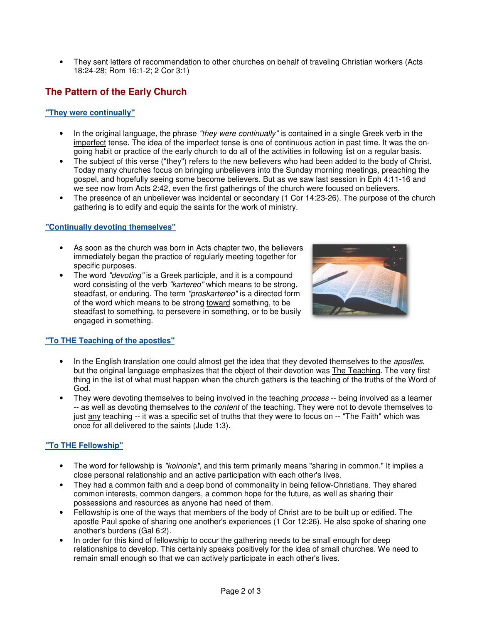• They sent letters of recommendation to other churches on behalf of traveling Christian workers (Acts 18:24-28; Rom 16:1-2; 2 Cor 3:1)

# **The Pattern of the Early Church**

#### **"They were continually"**

- In the original language, the phrase "they were continually" is contained in a single Greek verb in the imperfect tense. The idea of the imperfect tense is one of continuous action in past time. It was the ongoing habit or practice of the early church to do all of the activities in following list on a regular basis.
- The subject of this verse ("they") refers to the new believers who had been added to the body of Christ. Today many churches focus on bringing unbelievers into the Sunday morning meetings, preaching the gospel, and hopefully seeing some become believers. But as we saw last session in Eph 4:11-16 and we see now from Acts 2:42, even the first gatherings of the church were focused on believers.
- The presence of an unbeliever was incidental or secondary (1 Cor 14:23-26). The purpose of the church gathering is to edify and equip the saints for the work of ministry.

#### **"Continually devoting themselves"**

- As soon as the church was born in Acts chapter two, the believers immediately began the practice of regularly meeting together for specific purposes.
- The word "devoting" is a Greek participle, and it is a compound word consisting of the verb "kartereo" which means to be strong, steadfast, or enduring. The term "proskartereo" is a directed form of the word which means to be strong toward something, to be steadfast to something, to persevere in something, or to be busily engaged in something.



#### **"To THE Teaching of the apostles"**

- In the English translation one could almost get the idea that they devoted themselves to the apostles, but the original language emphasizes that the object of their devotion was The Teaching. The very first thing in the list of what must happen when the church gathers is the teaching of the truths of the Word of God.
- They were devoting themselves to being involved in the teaching *process* -- being involved as a learner -- as well as devoting themselves to the *content* of the teaching. They were not to devote themselves to just any teaching -- it was a specific set of truths that they were to focus on -- "The Faith" which was once for all delivered to the saints (Jude 1:3).

### **"To THE Fellowship"**

- The word for fellowship is "koinonia", and this term primarily means "sharing in common." It implies a close personal relationship and an active participation with each other's lives.
- They had a common faith and a deep bond of commonality in being fellow-Christians. They shared common interests, common dangers, a common hope for the future, as well as sharing their possessions and resources as anyone had need of them.
- Fellowship is one of the ways that members of the body of Christ are to be built up or edified. The apostle Paul spoke of sharing one another's experiences (1 Cor 12:26). He also spoke of sharing one another's burdens (Gal 6:2).
- In order for this kind of fellowship to occur the gathering needs to be small enough for deep relationships to develop. This certainly speaks positively for the idea of small churches. We need to remain small enough so that we can actively participate in each other's lives.